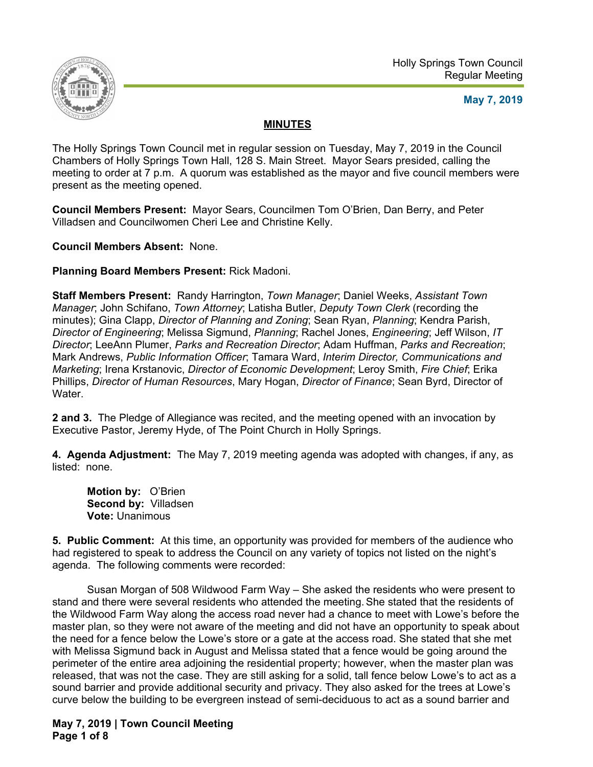

## **May 7, 2019**

# **MINUTES**

The Holly Springs Town Council met in regular session on Tuesday, May 7, 2019 in the Council Chambers of Holly Springs Town Hall, 128 S. Main Street. Mayor Sears presided, calling the meeting to order at 7 p.m. A quorum was established as the mayor and five council members were present as the meeting opened.

**Council Members Present:** Mayor Sears, Councilmen Tom O'Brien, Dan Berry, and Peter Villadsen and Councilwomen Cheri Lee and Christine Kelly.

**Council Members Absent:** None.

**Planning Board Members Present:** Rick Madoni.

**Staff Members Present:** Randy Harrington, *Town Manager*; Daniel Weeks, *Assistant Town Manager*; John Schifano, *Town Attorney*; Latisha Butler, *Deputy Town Clerk* (recording the minutes); Gina Clapp, *Director of Planning and Zoning*; Sean Ryan, *Planning*; Kendra Parish, *Director of Engineering*; Melissa Sigmund, *Planning*; Rachel Jones, *Engineering*; Jeff Wilson, *IT Director*; LeeAnn Plumer, *Parks and Recreation Director*; Adam Huffman, *Parks and Recreation*; Mark Andrews, *Public Information Officer*; Tamara Ward, *Interim Director, Communications and Marketing*; Irena Krstanovic, *Director of Economic Development*; Leroy Smith, *Fire Chief*; Erika Phillips, *Director of Human Resources*, Mary Hogan, *Director of Finance*; Sean Byrd, Director of Water.

**2 and 3.** The Pledge of Allegiance was recited, and the meeting opened with an invocation by Executive Pastor, Jeremy Hyde, of The Point Church in Holly Springs.

**4. Agenda Adjustment:** The May 7, 2019 meeting agenda was adopted with changes, if any, as listed: none.

**Motion by:** O'Brien **Second by:** Villadsen **Vote:** Unanimous

**5. Public Comment:** At this time, an opportunity was provided for members of the audience who had registered to speak to address the Council on any variety of topics not listed on the night's agenda. The following comments were recorded:

 Susan Morgan of 508 Wildwood Farm Way – She asked the residents who were present to stand and there were several residents who attended the meeting. She stated that the residents of the Wildwood Farm Way along the access road never had a chance to meet with Lowe's before the master plan, so they were not aware of the meeting and did not have an opportunity to speak about the need for a fence below the Lowe's store or a gate at the access road. She stated that she met with Melissa Sigmund back in August and Melissa stated that a fence would be going around the perimeter of the entire area adjoining the residential property; however, when the master plan was released, that was not the case. They are still asking for a solid, tall fence below Lowe's to act as a sound barrier and provide additional security and privacy. They also asked for the trees at Lowe's curve below the building to be evergreen instead of semi-deciduous to act as a sound barrier and

**May 7, 2019 | Town Council Meeting Page 1 of 8**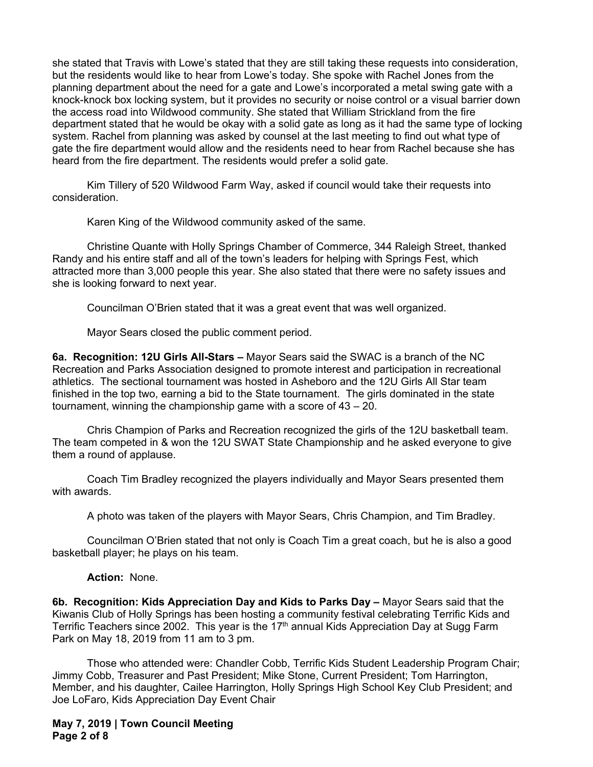she stated that Travis with Lowe's stated that they are still taking these requests into consideration, but the residents would like to hear from Lowe's today. She spoke with Rachel Jones from the planning department about the need for a gate and Lowe's incorporated a metal swing gate with a knock-knock box locking system, but it provides no security or noise control or a visual barrier down the access road into Wildwood community. She stated that William Strickland from the fire department stated that he would be okay with a solid gate as long as it had the same type of locking system. Rachel from planning was asked by counsel at the last meeting to find out what type of gate the fire department would allow and the residents need to hear from Rachel because she has heard from the fire department. The residents would prefer a solid gate.

 Kim Tillery of 520 Wildwood Farm Way, asked if council would take their requests into consideration.

Karen King of the Wildwood community asked of the same.

 Christine Quante with Holly Springs Chamber of Commerce, 344 Raleigh Street, thanked Randy and his entire staff and all of the town's leaders for helping with Springs Fest, which attracted more than 3,000 people this year. She also stated that there were no safety issues and she is looking forward to next year.

Councilman O'Brien stated that it was a great event that was well organized.

Mayor Sears closed the public comment period.

**6a. Recognition: 12U Girls All-Stars –** Mayor Sears said the SWAC is a branch of the NC Recreation and Parks Association designed to promote interest and participation in recreational athletics. The sectional tournament was hosted in Asheboro and the 12U Girls All Star team finished in the top two, earning a bid to the State tournament. The girls dominated in the state tournament, winning the championship game with a score of 43 – 20.

Chris Champion of Parks and Recreation recognized the girls of the 12U basketball team. The team competed in & won the 12U SWAT State Championship and he asked everyone to give them a round of applause.

Coach Tim Bradley recognized the players individually and Mayor Sears presented them with awards.

A photo was taken of the players with Mayor Sears, Chris Champion, and Tim Bradley.

Councilman O'Brien stated that not only is Coach Tim a great coach, but he is also a good basketball player; he plays on his team.

#### **Action:** None.

**6b. Recognition: Kids Appreciation Day and Kids to Parks Day –** Mayor Sears said that the Kiwanis Club of Holly Springs has been hosting a community festival celebrating Terrific Kids and Terrific Teachers since 2002. This year is the 17<sup>th</sup> annual Kids Appreciation Day at Sugg Farm Park on May 18, 2019 from 11 am to 3 pm.

Those who attended were: Chandler Cobb, Terrific Kids Student Leadership Program Chair; Jimmy Cobb, Treasurer and Past President; Mike Stone, Current President; Tom Harrington, Member, and his daughter, Cailee Harrington, Holly Springs High School Key Club President; and Joe LoFaro, Kids Appreciation Day Event Chair

**May 7, 2019 | Town Council Meeting Page 2 of 8**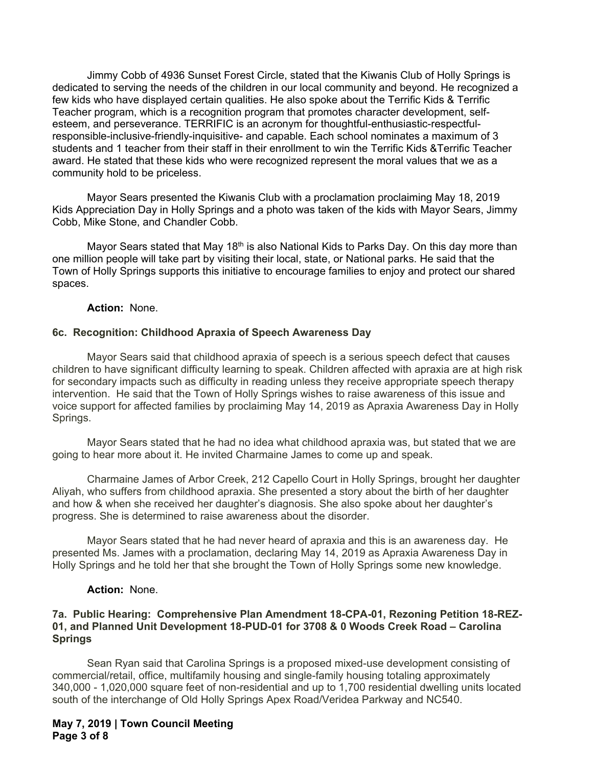Jimmy Cobb of 4936 Sunset Forest Circle, stated that the Kiwanis Club of Holly Springs is dedicated to serving the needs of the children in our local community and beyond. He recognized a few kids who have displayed certain qualities. He also spoke about the Terrific Kids & Terrific Teacher program, which is a recognition program that promotes character development, selfesteem, and perseverance. TERRIFIC is an acronym for thoughtful-enthusiastic-respectfulresponsible-inclusive-friendly-inquisitive- and capable. Each school nominates a maximum of 3 students and 1 teacher from their staff in their enrollment to win the Terrific Kids &Terrific Teacher award. He stated that these kids who were recognized represent the moral values that we as a community hold to be priceless.

Mayor Sears presented the Kiwanis Club with a proclamation proclaiming May 18, 2019 Kids Appreciation Day in Holly Springs and a photo was taken of the kids with Mayor Sears, Jimmy Cobb, Mike Stone, and Chandler Cobb.

Mayor Sears stated that May 18<sup>th</sup> is also National Kids to Parks Day. On this day more than one million people will take part by visiting their local, state, or National parks. He said that the Town of Holly Springs supports this initiative to encourage families to enjoy and protect our shared spaces.

#### **Action:** None.

#### **6c. Recognition: Childhood Apraxia of Speech Awareness Day**

Mayor Sears said that childhood apraxia of speech is a serious speech defect that causes children to have significant difficulty learning to speak. Children affected with apraxia are at high risk for secondary impacts such as difficulty in reading unless they receive appropriate speech therapy intervention. He said that the Town of Holly Springs wishes to raise awareness of this issue and voice support for affected families by proclaiming May 14, 2019 as Apraxia Awareness Day in Holly Springs.

Mayor Sears stated that he had no idea what childhood apraxia was, but stated that we are going to hear more about it. He invited Charmaine James to come up and speak.

Charmaine James of Arbor Creek, 212 Capello Court in Holly Springs, brought her daughter Aliyah, who suffers from childhood apraxia. She presented a story about the birth of her daughter and how & when she received her daughter's diagnosis. She also spoke about her daughter's progress. She is determined to raise awareness about the disorder.

 Mayor Sears stated that he had never heard of apraxia and this is an awareness day. He presented Ms. James with a proclamation, declaring May 14, 2019 as Apraxia Awareness Day in Holly Springs and he told her that she brought the Town of Holly Springs some new knowledge.

#### **Action:** None.

#### **7a. Public Hearing: Comprehensive Plan Amendment 18-CPA-01, Rezoning Petition 18-REZ-01, and Planned Unit Development 18-PUD-01 for 3708 & 0 Woods Creek Road – Carolina Springs**

 Sean Ryan said that Carolina Springs is a proposed mixed-use development consisting of commercial/retail, office, multifamily housing and single-family housing totaling approximately 340,000 - 1,020,000 square feet of non-residential and up to 1,700 residential dwelling units located south of the interchange of Old Holly Springs Apex Road/Veridea Parkway and NC540.

**May 7, 2019 | Town Council Meeting Page 3 of 8**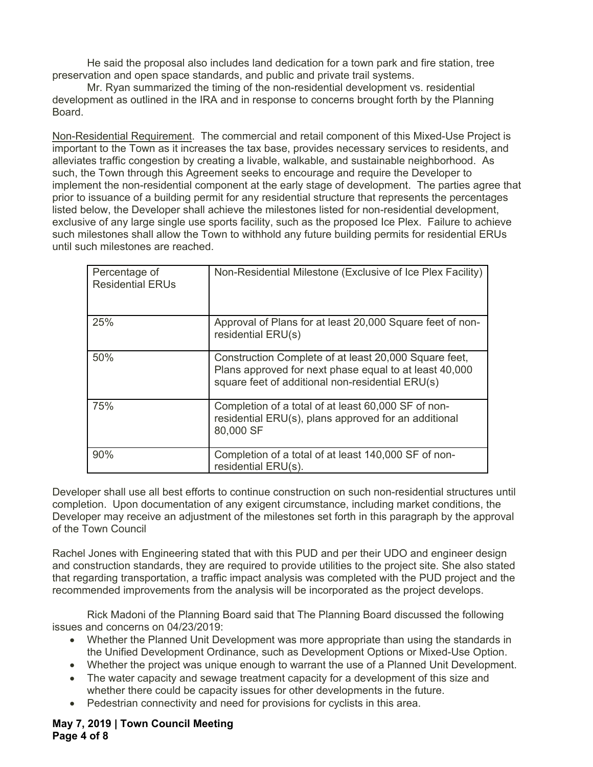He said the proposal also includes land dedication for a town park and fire station, tree preservation and open space standards, and public and private trail systems.

Mr. Ryan summarized the timing of the non-residential development vs. residential development as outlined in the IRA and in response to concerns brought forth by the Planning Board.

Non-Residential Requirement. The commercial and retail component of this Mixed-Use Project is important to the Town as it increases the tax base, provides necessary services to residents, and alleviates traffic congestion by creating a livable, walkable, and sustainable neighborhood. As such, the Town through this Agreement seeks to encourage and require the Developer to implement the non-residential component at the early stage of development. The parties agree that prior to issuance of a building permit for any residential structure that represents the percentages listed below, the Developer shall achieve the milestones listed for non-residential development, exclusive of any large single use sports facility, such as the proposed Ice Plex. Failure to achieve such milestones shall allow the Town to withhold any future building permits for residential ERUs until such milestones are reached.

| Percentage of<br><b>Residential ERUs</b> | Non-Residential Milestone (Exclusive of Ice Plex Facility)                                                                                                          |
|------------------------------------------|---------------------------------------------------------------------------------------------------------------------------------------------------------------------|
| 25%                                      | Approval of Plans for at least 20,000 Square feet of non-<br>residential ERU(s)                                                                                     |
| 50%                                      | Construction Complete of at least 20,000 Square feet,<br>Plans approved for next phase equal to at least 40,000<br>square feet of additional non-residential ERU(s) |
| 75%                                      | Completion of a total of at least 60,000 SF of non-<br>residential ERU(s), plans approved for an additional<br>80,000 SF                                            |
| 90%                                      | Completion of a total of at least 140,000 SF of non-<br>residential ERU(s).                                                                                         |

Developer shall use all best efforts to continue construction on such non-residential structures until completion. Upon documentation of any exigent circumstance, including market conditions, the Developer may receive an adjustment of the milestones set forth in this paragraph by the approval of the Town Council

Rachel Jones with Engineering stated that with this PUD and per their UDO and engineer design and construction standards, they are required to provide utilities to the project site. She also stated that regarding transportation, a traffic impact analysis was completed with the PUD project and the recommended improvements from the analysis will be incorporated as the project develops.

 Rick Madoni of the Planning Board said that The Planning Board discussed the following issues and concerns on 04/23/2019:

- Whether the Planned Unit Development was more appropriate than using the standards in the Unified Development Ordinance, such as Development Options or Mixed-Use Option.
- Whether the project was unique enough to warrant the use of a Planned Unit Development.
- The water capacity and sewage treatment capacity for a development of this size and whether there could be capacity issues for other developments in the future.
- Pedestrian connectivity and need for provisions for cyclists in this area.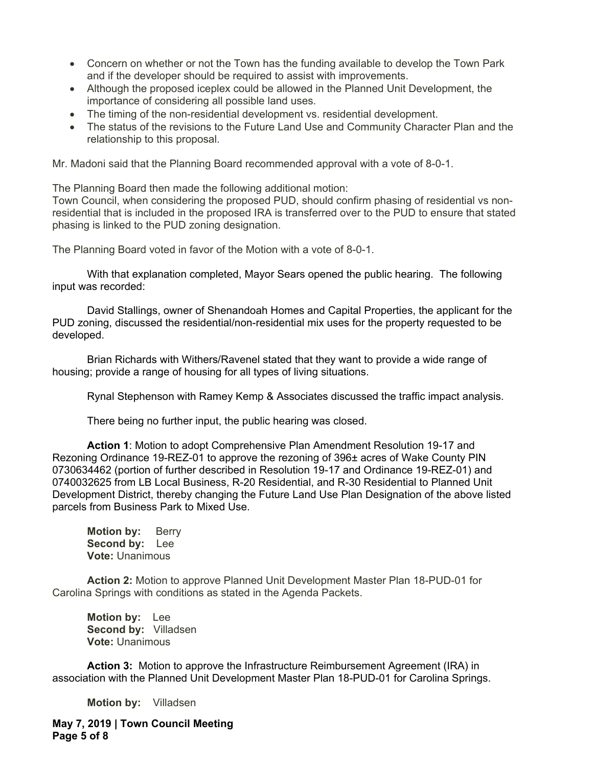- Concern on whether or not the Town has the funding available to develop the Town Park and if the developer should be required to assist with improvements.
- Although the proposed iceplex could be allowed in the Planned Unit Development, the importance of considering all possible land uses.
- The timing of the non-residential development vs. residential development.
- The status of the revisions to the Future Land Use and Community Character Plan and the relationship to this proposal.

Mr. Madoni said that the Planning Board recommended approval with a vote of 8-0-1.

The Planning Board then made the following additional motion:

Town Council, when considering the proposed PUD, should confirm phasing of residential vs nonresidential that is included in the proposed IRA is transferred over to the PUD to ensure that stated phasing is linked to the PUD zoning designation.

The Planning Board voted in favor of the Motion with a vote of 8-0-1.

With that explanation completed, Mayor Sears opened the public hearing. The following input was recorded:

David Stallings, owner of Shenandoah Homes and Capital Properties, the applicant for the PUD zoning, discussed the residential/non-residential mix uses for the property requested to be developed.

Brian Richards with Withers/Ravenel stated that they want to provide a wide range of housing; provide a range of housing for all types of living situations.

Rynal Stephenson with Ramey Kemp & Associates discussed the traffic impact analysis.

There being no further input, the public hearing was closed.

**Action 1**: Motion to adopt Comprehensive Plan Amendment Resolution 19-17 and Rezoning Ordinance 19-REZ-01 to approve the rezoning of 396± acres of Wake County PIN 0730634462 (portion of further described in Resolution 19-17 and Ordinance 19-REZ-01) and 0740032625 from LB Local Business, R-20 Residential, and R-30 Residential to Planned Unit Development District, thereby changing the Future Land Use Plan Designation of the above listed parcels from Business Park to Mixed Use.

**Motion by:** Berry  **Second by:** Lee  **Vote:** Unanimous

**Action 2:** Motion to approve Planned Unit Development Master Plan 18-PUD-01 for Carolina Springs with conditions as stated in the Agenda Packets.

**Motion by:** Lee **Second by: Villadsen Vote:** Unanimous

**Action 3:** Motion to approve the Infrastructure Reimbursement Agreement (IRA) in association with the Planned Unit Development Master Plan 18-PUD-01 for Carolina Springs.

**Motion by:** Villadsen

**May 7, 2019 | Town Council Meeting Page 5 of 8**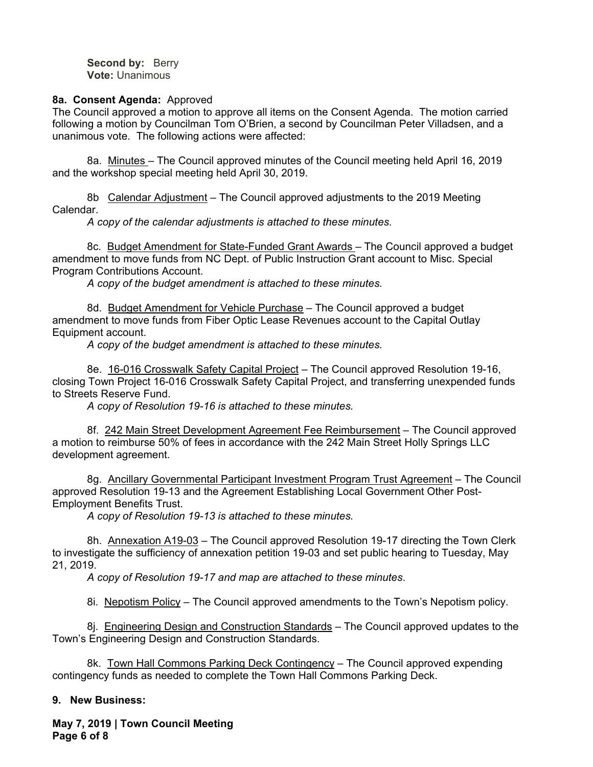**Second by: Berry Vote:** Unanimous

#### **8a. Consent Agenda:** Approved

The Council approved a motion to approve all items on the Consent Agenda. The motion carried following a motion by Councilman Tom O'Brien, a second by Councilman Peter Villadsen, and a unanimous vote. The following actions were affected:

8a. Minutes – The Council approved minutes of the Council meeting held April 16, 2019 and the workshop special meeting held April 30, 2019.

8b Calendar Adjustment – The Council approved adjustments to the 2019 Meeting Calendar.

*A copy of the calendar adjustments is attached to these minutes.* 

8c. Budget Amendment for State-Funded Grant Awards – The Council approved a budget amendment to move funds from NC Dept. of Public Instruction Grant account to Misc. Special Program Contributions Account.

*A copy of the budget amendment is attached to these minutes.* 

8d. Budget Amendment for Vehicle Purchase - The Council approved a budget amendment to move funds from Fiber Optic Lease Revenues account to the Capital Outlay Equipment account.

*A copy of the budget amendment is attached to these minutes.* 

8e. 16-016 Crosswalk Safety Capital Project - The Council approved Resolution 19-16, closing Town Project 16-016 Crosswalk Safety Capital Project, and transferring unexpended funds to Streets Reserve Fund.

*A copy of Resolution 19-16 is attached to these minutes.* 

8f. 242 Main Street Development Agreement Fee Reimbursement - The Council approved a motion to reimburse 50% of fees in accordance with the 242 Main Street Holly Springs LLC development agreement.

8g. Ancillary Governmental Participant Investment Program Trust Agreement - The Council approved Resolution 19-13 and the Agreement Establishing Local Government Other Post-Employment Benefits Trust.

*A copy of Resolution 19-13 is attached to these minutes.* 

8h. Annexation A19-03 – The Council approved Resolution 19-17 directing the Town Clerk to investigate the sufficiency of annexation petition 19-03 and set public hearing to Tuesday, May 21, 2019.

*A copy of Resolution 19-17 and map are attached to these minutes*.

8i. Nepotism Policy - The Council approved amendments to the Town's Nepotism policy.

8j. Engineering Design and Construction Standards – The Council approved updates to the Town's Engineering Design and Construction Standards.

8k. Town Hall Commons Parking Deck Contingency – The Council approved expending contingency funds as needed to complete the Town Hall Commons Parking Deck.

## **9. New Business:**

**May 7, 2019 | Town Council Meeting Page 6 of 8**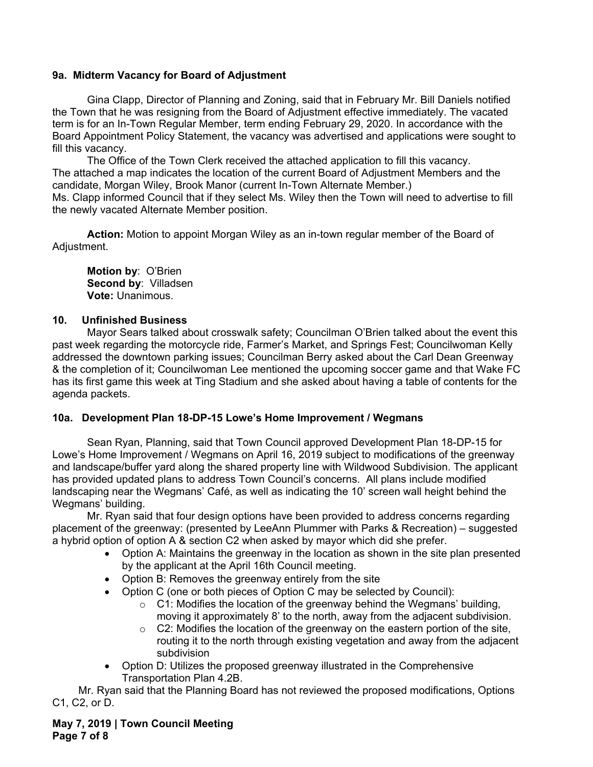## **9a. Midterm Vacancy for Board of Adjustment**

 Gina Clapp, Director of Planning and Zoning, said that in February Mr. Bill Daniels notified the Town that he was resigning from the Board of Adjustment effective immediately. The vacated term is for an In-Town Regular Member, term ending February 29, 2020. In accordance with the Board Appointment Policy Statement, the vacancy was advertised and applications were sought to fill this vacancy.

The Office of the Town Clerk received the attached application to fill this vacancy. The attached a map indicates the location of the current Board of Adjustment Members and the candidate, Morgan Wiley, Brook Manor (current In-Town Alternate Member.) Ms. Clapp informed Council that if they select Ms. Wiley then the Town will need to advertise to fill the newly vacated Alternate Member position.

**Action:** Motion to appoint Morgan Wiley as an in-town regular member of the Board of Adjustment.

 **Motion by**: O'Brien  **Second by**: Villadsen  **Vote:** Unanimous.

#### **10. Unfinished Business**

Mayor Sears talked about crosswalk safety; Councilman O'Brien talked about the event this past week regarding the motorcycle ride, Farmer's Market, and Springs Fest; Councilwoman Kelly addressed the downtown parking issues; Councilman Berry asked about the Carl Dean Greenway & the completion of it; Councilwoman Lee mentioned the upcoming soccer game and that Wake FC has its first game this week at Ting Stadium and she asked about having a table of contents for the agenda packets.

## **10a. Development Plan 18-DP-15 Lowe's Home Improvement / Wegmans**

Sean Ryan, Planning, said that Town Council approved Development Plan 18-DP-15 for Lowe's Home Improvement / Wegmans on April 16, 2019 subject to modifications of the greenway and landscape/buffer yard along the shared property line with Wildwood Subdivision. The applicant has provided updated plans to address Town Council's concerns. All plans include modified landscaping near the Wegmans' Café, as well as indicating the 10' screen wall height behind the Wegmans' building.

Mr. Ryan said that four design options have been provided to address concerns regarding placement of the greenway: (presented by LeeAnn Plummer with Parks & Recreation) – suggested a hybrid option of option A & section C2 when asked by mayor which did she prefer.

- Option A: Maintains the greenway in the location as shown in the site plan presented by the applicant at the April 16th Council meeting.
- Option B: Removes the greenway entirely from the site
- Option C (one or both pieces of Option C may be selected by Council):
	- $\circ$  C1: Modifies the location of the greenway behind the Wegmans' building, moving it approximately 8' to the north, away from the adjacent subdivision.
	- $\circ$  C2: Modifies the location of the greenway on the eastern portion of the site, routing it to the north through existing vegetation and away from the adjacent subdivision
- Option D: Utilizes the proposed greenway illustrated in the Comprehensive Transportation Plan 4.2B.

Mr. Ryan said that the Planning Board has not reviewed the proposed modifications, Options C1, C2, or D.

**May 7, 2019 | Town Council Meeting Page 7 of 8**